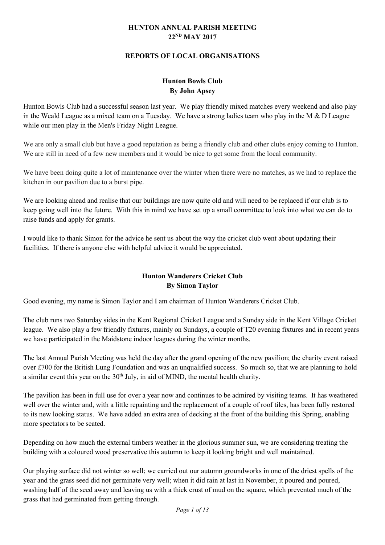#### **HUNTON ANNUAL PARISH MEETING 22ND MAY 2017**

#### **REPORTS OF LOCAL ORGANISATIONS**

## **Hunton Bowls Club By John Apsey**

Hunton Bowls Club had a successful season last year. We play friendly mixed matches every weekend and also play in the Weald League as a mixed team on a Tuesday. We have a strong ladies team who play in the M  $\&$  D League while our men play in the Men's Friday Night League.

We are only a small club but have a good reputation as being a friendly club and other clubs enjoy coming to Hunton. We are still in need of a few new members and it would be nice to get some from the local community.

We have been doing quite a lot of maintenance over the winter when there were no matches, as we had to replace the kitchen in our pavilion due to a burst pipe.

We are looking ahead and realise that our buildings are now quite old and will need to be replaced if our club is to keep going well into the future. With this in mind we have set up a small committee to look into what we can do to raise funds and apply for grants.

I would like to thank Simon for the advice he sent us about the way the cricket club went about updating their facilities. If there is anyone else with helpful advice it would be appreciated.

### **Hunton Wanderers Cricket Club By Simon Taylor**

Good evening, my name is Simon Taylor and I am chairman of Hunton Wanderers Cricket Club.

The club runs two Saturday sides in the Kent Regional Cricket League and a Sunday side in the Kent Village Cricket league. We also play a few friendly fixtures, mainly on Sundays, a couple of T20 evening fixtures and in recent years we have participated in the Maidstone indoor leagues during the winter months.

The last Annual Parish Meeting was held the day after the grand opening of the new pavilion; the charity event raised over £700 for the British Lung Foundation and was an unqualified success. So much so, that we are planning to hold a similar event this year on the  $30<sup>th</sup>$  July, in aid of MIND, the mental health charity.

The pavilion has been in full use for over a year now and continues to be admired by visiting teams. It has weathered well over the winter and, with a little repainting and the replacement of a couple of roof tiles, has been fully restored to its new looking status. We have added an extra area of decking at the front of the building this Spring, enabling more spectators to be seated.

Depending on how much the external timbers weather in the glorious summer sun, we are considering treating the building with a coloured wood preservative this autumn to keep it looking bright and well maintained.

Our playing surface did not winter so well; we carried out our autumn groundworks in one of the driest spells of the year and the grass seed did not germinate very well; when it did rain at last in November, it poured and poured, washing half of the seed away and leaving us with a thick crust of mud on the square, which prevented much of the grass that had germinated from getting through.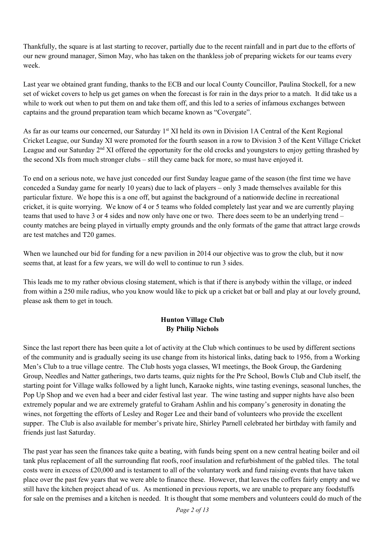Thankfully, the square is at last starting to recover, partially due to the recent rainfall and in part due to the efforts of our new ground manager, Simon May, who has taken on the thankless job of preparing wickets for our teams every week.

Last year we obtained grant funding, thanks to the ECB and our local County Councillor, Paulina Stockell, for a new set of wicket covers to help us get games on when the forecast is for rain in the days prior to a match. It did take us a while to work out when to put them on and take them off, and this led to a series of infamous exchanges between captains and the ground preparation team which became known as "Covergate".

As far as our teams our concerned, our Saturday 1<sup>st</sup> XI held its own in Division 1A Central of the Kent Regional Cricket League, our Sunday XI were promoted for the fourth season in a row to Division 3 of the Kent Village Cricket League and our Saturday  $2<sup>nd</sup> XI$  offered the opportunity for the old crocks and youngsters to enjoy getting thrashed by the second XIs from much stronger clubs – still they came back for more, so must have enjoyed it.

To end on a serious note, we have just conceded our first Sunday league game of the season (the first time we have conceded a Sunday game for nearly 10 years) due to lack of players – only 3 made themselves available for this particular fixture. We hope this is a one off, but against the background of a nationwide decline in recreational cricket, it is quite worrying. We know of 4 or 5 teams who folded completely last year and we are currently playing teams that used to have 3 or 4 sides and now only have one or two. There does seem to be an underlying trend – county matches are being played in virtually empty grounds and the only formats of the game that attract large crowds are test matches and T20 games.

When we launched our bid for funding for a new pavilion in 2014 our objective was to grow the club, but it now seems that, at least for a few years, we will do well to continue to run 3 sides.

This leads me to my rather obvious closing statement, which is that if there is anybody within the village, or indeed from within a 250 mile radius, who you know would like to pick up a cricket bat or ball and play at our lovely ground, please ask them to get in touch.

### **Hunton Village Club By Philip Nichols**

Since the last report there has been quite a lot of activity at the Club which continues to be used by different sections of the community and is gradually seeing its use change from its historical links, dating back to 1956, from a Working Men's Club to a true village centre. The Club hosts yoga classes, WI meetings, the Book Group, the Gardening Group, Needles and Natter gatherings, two darts teams, quiz nights for the Pre School, Bowls Club and Club itself, the starting point for Village walks followed by a light lunch, Karaoke nights, wine tasting evenings, seasonal lunches, the Pop Up Shop and we even had a beer and cider festival last year. The wine tasting and supper nights have also been extremely popular and we are extremely grateful to Graham Ashlin and his company's generosity in donating the wines, not forgetting the efforts of Lesley and Roger Lee and their band of volunteers who provide the excellent supper. The Club is also available for member's private hire, Shirley Parnell celebrated her birthday with family and friends just last Saturday.

The past year has seen the finances take quite a beating, with funds being spent on a new central heating boiler and oil tank plus replacement of all the surrounding flat roofs, roof insulation and refurbishment of the gabled tiles. The total costs were in excess of £20,000 and is testament to all of the voluntary work and fund raising events that have taken place over the past few years that we were able to finance these. However, that leaves the coffers fairly empty and we still have the kitchen project ahead of us. As mentioned in previous reports, we are unable to prepare any foodstuffs for sale on the premises and a kitchen is needed. It is thought that some members and volunteers could do much of the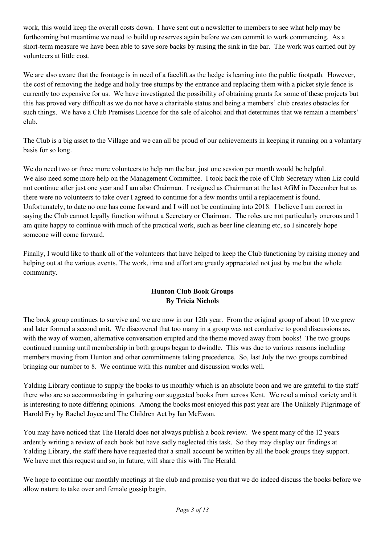work, this would keep the overall costs down. I have sent out a newsletter to members to see what help may be forthcoming but meantime we need to build up reserves again before we can commit to work commencing. As a short-term measure we have been able to save sore backs by raising the sink in the bar. The work was carried out by volunteers at little cost.

We are also aware that the frontage is in need of a facelift as the hedge is leaning into the public footpath. However, the cost of removing the hedge and holly tree stumps by the entrance and replacing them with a picket style fence is currently too expensive for us. We have investigated the possibility of obtaining grants for some of these projects but this has proved very difficult as we do not have a charitable status and being a members' club creates obstacles for such things. We have a Club Premises Licence for the sale of alcohol and that determines that we remain a members' club.

The Club is a big asset to the Village and we can all be proud of our achievements in keeping it running on a voluntary basis for so long.

We do need two or three more volunteers to help run the bar, just one session per month would be helpful. We also need some more help on the Management Committee. I took back the role of Club Secretary when Liz could not continue after just one year and I am also Chairman. I resigned as Chairman at the last AGM in December but as there were no volunteers to take over I agreed to continue for a few months until a replacement is found. Unfortunately, to date no one has come forward and I will not be continuing into 2018. I believe I am correct in saying the Club cannot legally function without a Secretary or Chairman. The roles are not particularly onerous and I am quite happy to continue with much of the practical work, such as beer line cleaning etc, so I sincerely hope someone will come forward.

Finally, I would like to thank all of the volunteers that have helped to keep the Club functioning by raising money and helping out at the various events. The work, time and effort are greatly appreciated not just by me but the whole community.

## **Hunton Club Book Groups By Tricia Nichols**

The book group continues to survive and we are now in our 12th year. From the original group of about 10 we grew and later formed a second unit. We discovered that too many in a group was not conducive to good discussions as, with the way of women, alternative conversation erupted and the theme moved away from books! The two groups continued running until membership in both groups began to dwindle. This was due to various reasons including members moving from Hunton and other commitments taking precedence. So, last July the two groups combined bringing our number to 8. We continue with this number and discussion works well.

Yalding Library continue to supply the books to us monthly which is an absolute boon and we are grateful to the staff there who are so accommodating in gathering our suggested books from across Kent. We read a mixed variety and it is interesting to note differing opinions. Among the books most enjoyed this past year are The Unlikely Pilgrimage of Harold Fry by Rachel Joyce and The Children Act by Ian McEwan.

You may have noticed that The Herald does not always publish a book review. We spent many of the 12 years ardently writing a review of each book but have sadly neglected this task. So they may display our findings at Yalding Library, the staff there have requested that a small account be written by all the book groups they support. We have met this request and so, in future, will share this with The Herald.

We hope to continue our monthly meetings at the club and promise you that we do indeed discuss the books before we allow nature to take over and female gossip begin.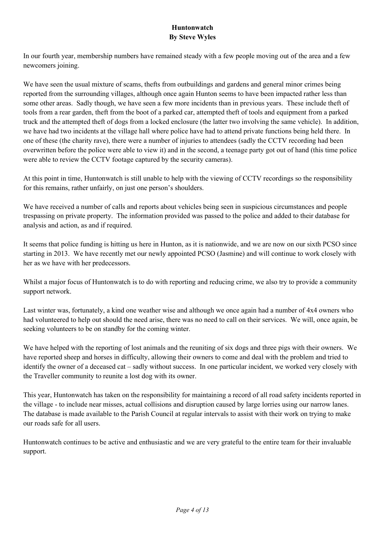### **Huntonwatch By Steve Wyles**

In our fourth year, membership numbers have remained steady with a few people moving out of the area and a few newcomers joining.

We have seen the usual mixture of scams, thefts from outbuildings and gardens and general minor crimes being reported from the surrounding villages, although once again Hunton seems to have been impacted rather less than some other areas. Sadly though, we have seen a few more incidents than in previous years. These include theft of tools from a rear garden, theft from the boot of a parked car, attempted theft of tools and equipment from a parked truck and the attempted theft of dogs from a locked enclosure (the latter two involving the same vehicle). In addition, we have had two incidents at the village hall where police have had to attend private functions being held there. In one of these (the charity rave), there were a number of injuries to attendees (sadly the CCTV recording had been overwritten before the police were able to view it) and in the second, a teenage party got out of hand (this time police were able to review the CCTV footage captured by the security cameras).

At this point in time, Huntonwatch is still unable to help with the viewing of CCTV recordings so the responsibility for this remains, rather unfairly, on just one person's shoulders.

We have received a number of calls and reports about vehicles being seen in suspicious circumstances and people trespassing on private property. The information provided was passed to the police and added to their database for analysis and action, as and if required.

It seems that police funding is hitting us here in Hunton, as it is nationwide, and we are now on our sixth PCSO since starting in 2013. We have recently met our newly appointed PCSO (Jasmine) and will continue to work closely with her as we have with her predecessors.

Whilst a major focus of Huntonwatch is to do with reporting and reducing crime, we also try to provide a community support network.

Last winter was, fortunately, a kind one weather wise and although we once again had a number of 4x4 owners who had volunteered to help out should the need arise, there was no need to call on their services. We will, once again, be seeking volunteers to be on standby for the coming winter.

We have helped with the reporting of lost animals and the reuniting of six dogs and three pigs with their owners. We have reported sheep and horses in difficulty, allowing their owners to come and deal with the problem and tried to identify the owner of a deceased cat – sadly without success. In one particular incident, we worked very closely with the Traveller community to reunite a lost dog with its owner.

This year, Huntonwatch has taken on the responsibility for maintaining a record of all road safety incidents reported in the village - to include near misses, actual collisions and disruption caused by large lorries using our narrow lanes. The database is made available to the Parish Council at regular intervals to assist with their work on trying to make our roads safe for all users.

Huntonwatch continues to be active and enthusiastic and we are very grateful to the entire team for their invaluable support.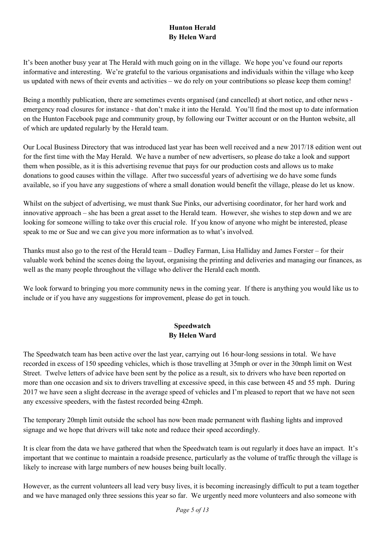# **Hunton Herald By Helen Ward**

It's been another busy year at The Herald with much going on in the village. We hope you've found our reports informative and interesting. We're grateful to the various organisations and individuals within the village who keep us updated with news of their events and activities – we do rely on your contributions so please keep them coming!

Being a monthly publication, there are sometimes events organised (and cancelled) at short notice, and other news emergency road closures for instance - that don't make it into the Herald. You'll find the most up to date information on the Hunton Facebook page and community group, by following our Twitter account or on the Hunton website, all of which are updated regularly by the Herald team.

Our Local Business Directory that was introduced last year has been well received and a new 2017/18 edition went out for the first time with the May Herald. We have a number of new advertisers, so please do take a look and support them when possible, as it is this advertising revenue that pays for our production costs and allows us to make donations to good causes within the village. After two successful years of advertising we do have some funds available, so if you have any suggestions of where a small donation would benefit the village, please do let us know.

Whilst on the subject of advertising, we must thank Sue Pinks, our advertising coordinator, for her hard work and innovative approach – she has been a great asset to the Herald team. However, she wishes to step down and we are looking for someone willing to take over this crucial role. If you know of anyone who might be interested, please speak to me or Sue and we can give you more information as to what's involved.

Thanks must also go to the rest of the Herald team – Dudley Farman, Lisa Halliday and James Forster – for their valuable work behind the scenes doing the layout, organising the printing and deliveries and managing our finances, as well as the many people throughout the village who deliver the Herald each month.

We look forward to bringing you more community news in the coming year. If there is anything you would like us to include or if you have any suggestions for improvement, please do get in touch.

### **Speedwatch By Helen Ward**

The Speedwatch team has been active over the last year, carrying out 16 hour-long sessions in total. We have recorded in excess of 150 speeding vehicles, which is those travelling at 35mph or over in the 30mph limit on West Street. Twelve letters of advice have been sent by the police as a result, six to drivers who have been reported on more than one occasion and six to drivers travelling at excessive speed, in this case between 45 and 55 mph. During 2017 we have seen a slight decrease in the average speed of vehicles and I'm pleased to report that we have not seen any excessive speeders, with the fastest recorded being 42mph.

The temporary 20mph limit outside the school has now been made permanent with flashing lights and improved signage and we hope that drivers will take note and reduce their speed accordingly.

It is clear from the data we have gathered that when the Speedwatch team is out regularly it does have an impact. It's important that we continue to maintain a roadside presence, particularly as the volume of traffic through the village is likely to increase with large numbers of new houses being built locally.

However, as the current volunteers all lead very busy lives, it is becoming increasingly difficult to put a team together and we have managed only three sessions this year so far. We urgently need more volunteers and also someone with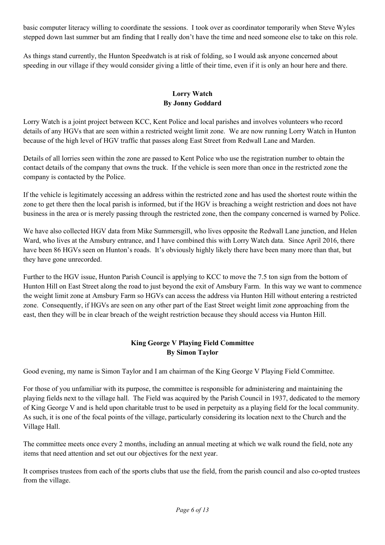basic computer literacy willing to coordinate the sessions. I took over as coordinator temporarily when Steve Wyles stepped down last summer but am finding that I really don't have the time and need someone else to take on this role.

As things stand currently, the Hunton Speedwatch is at risk of folding, so I would ask anyone concerned about speeding in our village if they would consider giving a little of their time, even if it is only an hour here and there.

## **Lorry Watch By Jonny Goddard**

Lorry Watch is a joint project between KCC, Kent Police and local parishes and involves volunteers who record details of any HGVs that are seen within a restricted weight limit zone. We are now running Lorry Watch in Hunton because of the high level of HGV traffic that passes along East Street from Redwall Lane and Marden.

Details of all lorries seen within the zone are passed to Kent Police who use the registration number to obtain the contact details of the company that owns the truck. If the vehicle is seen more than once in the restricted zone the company is contacted by the Police.

If the vehicle is legitimately accessing an address within the restricted zone and has used the shortest route within the zone to get there then the local parish is informed, but if the HGV is breaching a weight restriction and does not have business in the area or is merely passing through the restricted zone, then the company concerned is warned by Police.

We have also collected HGV data from Mike Summersgill, who lives opposite the Redwall Lane junction, and Helen Ward, who lives at the Amsbury entrance, and I have combined this with Lorry Watch data. Since April 2016, there have been 86 HGVs seen on Hunton's roads. It's obviously highly likely there have been many more than that, but they have gone unrecorded.

Further to the HGV issue, Hunton Parish Council is applying to KCC to move the 7.5 ton sign from the bottom of Hunton Hill on East Street along the road to just beyond the exit of Amsbury Farm. In this way we want to commence the weight limit zone at Amsbury Farm so HGVs can access the address via Hunton Hill without entering a restricted zone. Consequently, if HGVs are seen on any other part of the East Street weight limit zone approaching from the east, then they will be in clear breach of the weight restriction because they should access via Hunton Hill.

## **King George V Playing Field Committee By Simon Taylor**

Good evening, my name is Simon Taylor and I am chairman of the King George V Playing Field Committee.

For those of you unfamiliar with its purpose, the committee is responsible for administering and maintaining the playing fields next to the village hall. The Field was acquired by the Parish Council in 1937, dedicated to the memory of King George V and is held upon charitable trust to be used in perpetuity as a playing field for the local community. As such, it is one of the focal points of the village, particularly considering its location next to the Church and the Village Hall.

The committee meets once every 2 months, including an annual meeting at which we walk round the field, note any items that need attention and set out our objectives for the next year.

It comprises trustees from each of the sports clubs that use the field, from the parish council and also co-opted trustees from the village.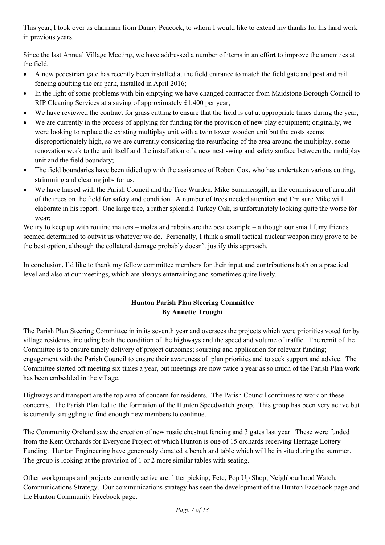This year, I took over as chairman from Danny Peacock, to whom I would like to extend my thanks for his hard work in previous years.

Since the last Annual Village Meeting, we have addressed a number of items in an effort to improve the amenities at the field.

- A new pedestrian gate has recently been installed at the field entrance to match the field gate and post and rail fencing abutting the car park, installed in April 2016;
- In the light of some problems with bin emptying we have changed contractor from Maidstone Borough Council to RIP Cleaning Services at a saving of approximately £1,400 per year;
- We have reviewed the contract for grass cutting to ensure that the field is cut at appropriate times during the year;
- We are currently in the process of applying for funding for the provision of new play equipment; originally, we were looking to replace the existing multiplay unit with a twin tower wooden unit but the costs seems disproportionately high, so we are currently considering the resurfacing of the area around the multiplay, some renovation work to the unit itself and the installation of a new nest swing and safety surface between the multiplay unit and the field boundary;
- The field boundaries have been tidied up with the assistance of Robert Cox, who has undertaken various cutting, strimming and clearing jobs for us;
- We have liaised with the Parish Council and the Tree Warden, Mike Summersgill, in the commission of an audit of the trees on the field for safety and condition. A number of trees needed attention and I'm sure Mike will elaborate in his report. One large tree, a rather splendid Turkey Oak, is unfortunately looking quite the worse for wear;

We try to keep up with routine matters – moles and rabbits are the best example – although our small furry friends seemed determined to outwit us whatever we do. Personally, I think a small tactical nuclear weapon may prove to be the best option, although the collateral damage probably doesn't justify this approach.

In conclusion, I'd like to thank my fellow committee members for their input and contributions both on a practical level and also at our meetings, which are always entertaining and sometimes quite lively.

# **Hunton Parish Plan Steering Committee By Annette Trought**

The Parish Plan Steering Committee in in its seventh year and oversees the projects which were priorities voted for by village residents, including both the condition of the highways and the speed and volume of traffic. The remit of the Committee is to ensure timely delivery of project outcomes; sourcing and application for relevant funding; engagement with the Parish Council to ensure their awareness of plan priorities and to seek support and advice. The Committee started off meeting six times a year, but meetings are now twice a year as so much of the Parish Plan work has been embedded in the village.

Highways and transport are the top area of concern for residents. The Parish Council continues to work on these concerns. The Parish Plan led to the formation of the Hunton Speedwatch group. This group has been very active but is currently struggling to find enough new members to continue.

The Community Orchard saw the erection of new rustic chestnut fencing and 3 gates last year. These were funded from the Kent Orchards for Everyone Project of which Hunton is one of 15 orchards receiving Heritage Lottery Funding. Hunton Engineering have generously donated a bench and table which will be in situ during the summer. The group is looking at the provision of 1 or 2 more similar tables with seating.

Other workgroups and projects currently active are: litter picking; Fete; Pop Up Shop; Neighbourhood Watch; Communications Strategy. Our communications strategy has seen the development of the Hunton Facebook page and the Hunton Community Facebook page.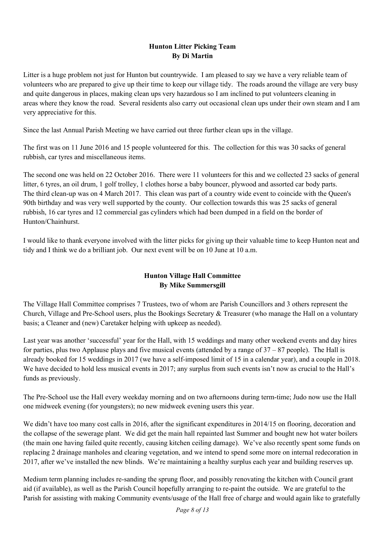### **Hunton Litter Picking Team By Di Martin**

Litter is a huge problem not just for Hunton but countrywide. I am pleased to say we have a very reliable team of volunteers who are prepared to give up their time to keep our village tidy. The roads around the village are very busy and quite dangerous in places, making clean ups very hazardous so I am inclined to put volunteers cleaning in areas where they know the road. Several residents also carry out occasional clean ups under their own steam and I am very appreciative for this.

Since the last Annual Parish Meeting we have carried out three further clean ups in the village.

The first was on 11 June 2016 and 15 people volunteered for this. The collection for this was 30 sacks of general rubbish, car tyres and miscellaneous items.

The second one was held on 22 October 2016. There were 11 volunteers for this and we collected 23 sacks of general litter, 6 tyres, an oil drum, 1 golf trolley, 1 clothes horse a baby bouncer, plywood and assorted car body parts. The third clean-up was on 4 March 2017. This clean was part of a country wide event to coincide with the Queen's 90th birthday and was very well supported by the county. Our collection towards this was 25 sacks of general rubbish, 16 car tyres and 12 commercial gas cylinders which had been dumped in a field on the border of Hunton/Chainhurst.

I would like to thank everyone involved with the litter picks for giving up their valuable time to keep Hunton neat and tidy and I think we do a brilliant job. Our next event will be on 10 June at 10 a.m.

## **Hunton Village Hall Committee By Mike Summersgill**

The Village Hall Committee comprises 7 Trustees, two of whom are Parish Councillors and 3 others represent the Church, Village and Pre-School users, plus the Bookings Secretary & Treasurer (who manage the Hall on a voluntary basis; a Cleaner and (new) Caretaker helping with upkeep as needed).

Last year was another 'successful' year for the Hall, with 15 weddings and many other weekend events and day hires for parties, plus two Applause plays and five musical events (attended by a range of  $37 - 87$  people). The Hall is already booked for 15 weddings in 2017 (we have a self-imposed limit of 15 in a calendar year), and a couple in 2018. We have decided to hold less musical events in 2017; any surplus from such events isn't now as crucial to the Hall's funds as previously.

The Pre-School use the Hall every weekday morning and on two afternoons during term-time; Judo now use the Hall one midweek evening (for youngsters); no new midweek evening users this year.

We didn't have too many cost calls in 2016, after the significant expenditures in 2014/15 on flooring, decoration and the collapse of the sewerage plant. We did get the main hall repainted last Summer and bought new hot water boilers (the main one having failed quite recently, causing kitchen ceiling damage). We've also recently spent some funds on replacing 2 drainage manholes and clearing vegetation, and we intend to spend some more on internal redecoration in 2017, after we've installed the new blinds. We're maintaining a healthy surplus each year and building reserves up.

Medium term planning includes re-sanding the sprung floor, and possibly renovating the kitchen with Council grant aid (if available), as well as the Parish Council hopefully arranging to re-paint the outside. We are grateful to the Parish for assisting with making Community events/usage of the Hall free of charge and would again like to gratefully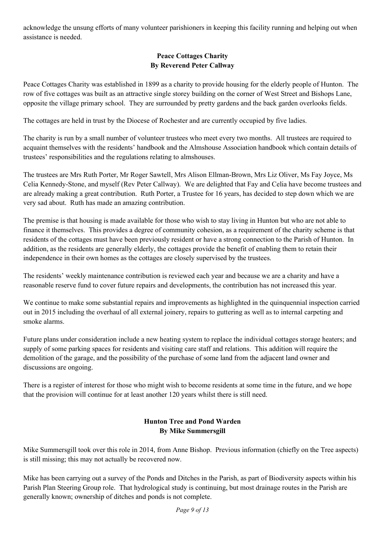acknowledge the unsung efforts of many volunteer parishioners in keeping this facility running and helping out when assistance is needed.

## **Peace Cottages Charity By Reverend Peter Callway**

Peace Cottages Charity was established in 1899 as a charity to provide housing for the elderly people of Hunton. The row of five cottages was built as an attractive single storey building on the corner of West Street and Bishops Lane, opposite the village primary school. They are surrounded by pretty gardens and the back garden overlooks fields.

The cottages are held in trust by the Diocese of Rochester and are currently occupied by five ladies.

The charity is run by a small number of volunteer trustees who meet every two months. All trustees are required to acquaint themselves with the residents' handbook and the Almshouse Association handbook which contain details of trustees' responsibilities and the regulations relating to almshouses.

The trustees are Mrs Ruth Porter, Mr Roger Sawtell, Mrs Alison Ellman-Brown, Mrs Liz Oliver, Ms Fay Joyce, Ms Celia Kennedy-Stone, and myself (Rev Peter Callway). We are delighted that Fay and Celia have become trustees and are already making a great contribution. Ruth Porter, a Trustee for 16 years, has decided to step down which we are very sad about. Ruth has made an amazing contribution.

The premise is that housing is made available for those who wish to stay living in Hunton but who are not able to finance it themselves. This provides a degree of community cohesion, as a requirement of the charity scheme is that residents of the cottages must have been previously resident or have a strong connection to the Parish of Hunton. In addition, as the residents are generally elderly, the cottages provide the benefit of enabling them to retain their independence in their own homes as the cottages are closely supervised by the trustees.

The residents' weekly maintenance contribution is reviewed each year and because we are a charity and have a reasonable reserve fund to cover future repairs and developments, the contribution has not increased this year.

We continue to make some substantial repairs and improvements as highlighted in the quinquennial inspection carried out in 2015 including the overhaul of all external joinery, repairs to guttering as well as to internal carpeting and smoke alarms.

Future plans under consideration include a new heating system to replace the individual cottages storage heaters; and supply of some parking spaces for residents and visiting care staff and relations. This addition will require the demolition of the garage, and the possibility of the purchase of some land from the adjacent land owner and discussions are ongoing.

There is a register of interest for those who might wish to become residents at some time in the future, and we hope that the provision will continue for at least another 120 years whilst there is still need.

## **Hunton Tree and Pond Warden By Mike Summersgill**

Mike Summersgill took over this role in 2014, from Anne Bishop. Previous information (chiefly on the Tree aspects) is still missing; this may not actually be recovered now.

Mike has been carrying out a survey of the Ponds and Ditches in the Parish, as part of Biodiversity aspects within his Parish Plan Steering Group role. That hydrological study is continuing, but most drainage routes in the Parish are generally known; ownership of ditches and ponds is not complete.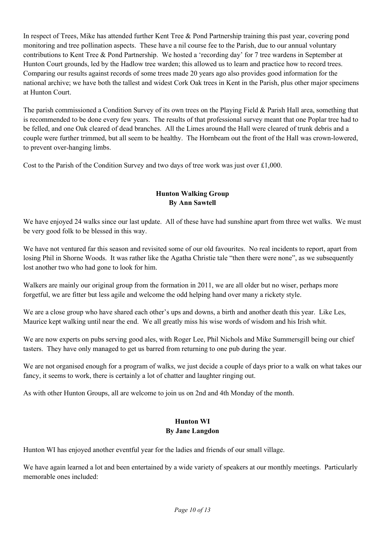In respect of Trees, Mike has attended further Kent Tree & Pond Partnership training this past year, covering pond monitoring and tree pollination aspects. These have a nil course fee to the Parish, due to our annual voluntary contributions to Kent Tree & Pond Partnership. We hosted a 'recording day' for 7 tree wardens in September at Hunton Court grounds, led by the Hadlow tree warden; this allowed us to learn and practice how to record trees. Comparing our results against records of some trees made 20 years ago also provides good information for the national archive; we have both the tallest and widest Cork Oak trees in Kent in the Parish, plus other major specimens at Hunton Court.

The parish commissioned a Condition Survey of its own trees on the Playing Field & Parish Hall area, something that is recommended to be done every few years. The results of that professional survey meant that one Poplar tree had to be felled, and one Oak cleared of dead branches. All the Limes around the Hall were cleared of trunk debris and a couple were further trimmed, but all seem to be healthy. The Hornbeam out the front of the Hall was crown-lowered, to prevent over-hanging limbs.

Cost to the Parish of the Condition Survey and two days of tree work was just over £1,000.

### **Hunton Walking Group By Ann Sawtell**

We have enjoyed 24 walks since our last update. All of these have had sunshine apart from three wet walks. We must be very good folk to be blessed in this way.

We have not ventured far this season and revisited some of our old favourites. No real incidents to report, apart from losing Phil in Shorne Woods. It was rather like the Agatha Christie tale "then there were none", as we subsequently lost another two who had gone to look for him.

Walkers are mainly our original group from the formation in 2011, we are all older but no wiser, perhaps more forgetful, we are fitter but less agile and welcome the odd helping hand over many a rickety style.

We are a close group who have shared each other's ups and downs, a birth and another death this year. Like Les, Maurice kept walking until near the end. We all greatly miss his wise words of wisdom and his Irish whit.

We are now experts on pubs serving good ales, with Roger Lee, Phil Nichols and Mike Summersgill being our chief tasters. They have only managed to get us barred from returning to one pub during the year.

We are not organised enough for a program of walks, we just decide a couple of days prior to a walk on what takes our fancy, it seems to work, there is certainly a lot of chatter and laughter ringing out.

As with other Hunton Groups, all are welcome to join us on 2nd and 4th Monday of the month.

# **Hunton WI By Jane Langdon**

Hunton WI has enjoyed another eventful year for the ladies and friends of our small village.

We have again learned a lot and been entertained by a wide variety of speakers at our monthly meetings. Particularly memorable ones included: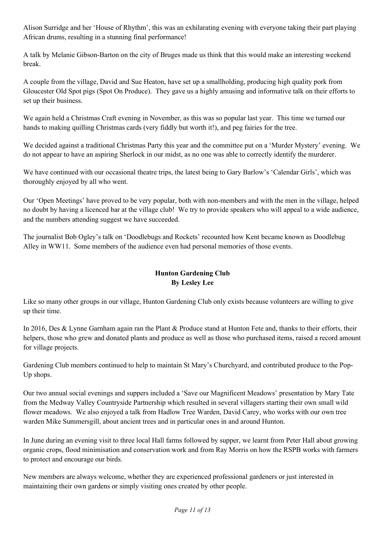Alison Surridge and her 'House of Rhythm', this was an exhilarating evening with everyone taking their part playing African drums, resulting in a stunning final performance!

A talk by Melanie Gibson-Barton on the city of Bruges made us think that this would make an interesting weekend break.

A couple from the village, David and Sue Heaton, have set up a smallholding, producing high quality pork from Gloucester Old Spot pigs (Spot On Produce). They gave us a highly amusing and informative talk on their efforts to set up their business.

We again held a Christmas Craft evening in November, as this was so popular last year. This time we turned our hands to making quilling Christmas cards (very fiddly but worth it!), and peg fairies for the tree.

We decided against a traditional Christmas Party this year and the committee put on a 'Murder Mystery' evening. We do not appear to have an aspiring Sherlock in our midst, as no one was able to correctly identify the murderer.

We have continued with our occasional theatre trips, the latest being to Gary Barlow's 'Calendar Girls', which was thoroughly enjoyed by all who went.

Our 'Open Meetings' have proved to be very popular, both with non-members and with the men in the village, helped no doubt by having a licenced bar at the village club! We try to provide speakers who will appeal to a wide audience, and the numbers attending suggest we have succeeded.

The journalist Bob Ogley's talk on 'Doodlebugs and Rockets' recounted how Kent became known as Doodlebug Alley in WW11. Some members of the audience even had personal memories of those events.

## **Hunton Gardening Club By Lesley Lee**

Like so many other groups in our village, Hunton Gardening Club only exists because volunteers are willing to give up their time.

In 2016, Des & Lynne Garnham again ran the Plant & Produce stand at Hunton Fete and, thanks to their efforts, their helpers, those who grew and donated plants and produce as well as those who purchased items, raised a record amount for village projects.

Gardening Club members continued to help to maintain St Mary's Churchyard, and contributed produce to the Pop-Up shops.

Our two annual social evenings and suppers included a 'Save our Magnificent Meadows' presentation by Mary Tate from the Medway Valley Countryside Partnership which resulted in several villagers starting their own small wild flower meadows. We also enjoyed a talk from Hadlow Tree Warden, David Carey, who works with our own tree warden Mike Summersgill, about ancient trees and in particular ones in and around Hunton.

In June during an evening visit to three local Hall farms followed by supper, we learnt from Peter Hall about growing organic crops, flood minimisation and conservation work and from Ray Morris on how the RSPB works with farmers to protect and encourage our birds.

New members are always welcome, whether they are experienced professional gardeners or just interested in maintaining their own gardens or simply visiting ones created by other people.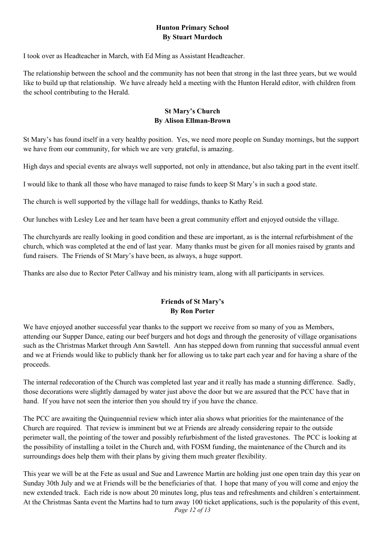#### **Hunton Primary School By Stuart Murdoch**

I took over as Headteacher in March, with Ed Ming as Assistant Headteacher.

The relationship between the school and the community has not been that strong in the last three years, but we would like to build up that relationship. We have already held a meeting with the Hunton Herald editor, with children from the school contributing to the Herald.

### **St Mary's Church By Alison Ellman-Brown**

St Mary's has found itself in a very healthy position. Yes, we need more people on Sunday mornings, but the support we have from our community, for which we are very grateful, is amazing.

High days and special events are always well supported, not only in attendance, but also taking part in the event itself.

I would like to thank all those who have managed to raise funds to keep St Mary's in such a good state.

The church is well supported by the village hall for weddings, thanks to Kathy Reid.

Our lunches with Lesley Lee and her team have been a great community effort and enjoyed outside the village.

The churchyards are really looking in good condition and these are important, as is the internal refurbishment of the church, which was completed at the end of last year. Many thanks must be given for all monies raised by grants and fund raisers. The Friends of St Mary's have been, as always, a huge support.

Thanks are also due to Rector Peter Callway and his ministry team, along with all participants in services.

## **Friends of St Mary's By Ron Porter**

We have enjoyed another successful year thanks to the support we receive from so many of you as Members, attending our Supper Dance, eating our beef burgers and hot dogs and through the generosity of village organisations such as the Christmas Market through Ann Sawtell. Ann has stepped down from running that successful annual event and we at Friends would like to publicly thank her for allowing us to take part each year and for having a share of the proceeds.

The internal redecoration of the Church was completed last year and it really has made a stunning difference. Sadly, those decorations were slightly damaged by water just above the door but we are assured that the PCC have that in hand. If you have not seen the interior then you should try if you have the chance.

The PCC are awaiting the Quinquennial review which inter alia shows what priorities for the maintenance of the Church are required. That review is imminent but we at Friends are already considering repair to the outside perimeter wall, the pointing of the tower and possibly refurbishment of the listed gravestones. The PCC is looking at the possibility of installing a toilet in the Church and, with FOSM funding, the maintenance of the Church and its surroundings does help them with their plans by giving them much greater flexibility.

*Page 12 of 13*  This year we will be at the Fete as usual and Sue and Lawrence Martin are holding just one open train day this year on Sunday 30th July and we at Friends will be the beneficiaries of that. I hope that many of you will come and enjoy the new extended track. Each ride is now about 20 minutes long, plus teas and refreshments and children`s entertainment. At the Christmas Santa event the Martins had to turn away 100 ticket applications, such is the popularity of this event,